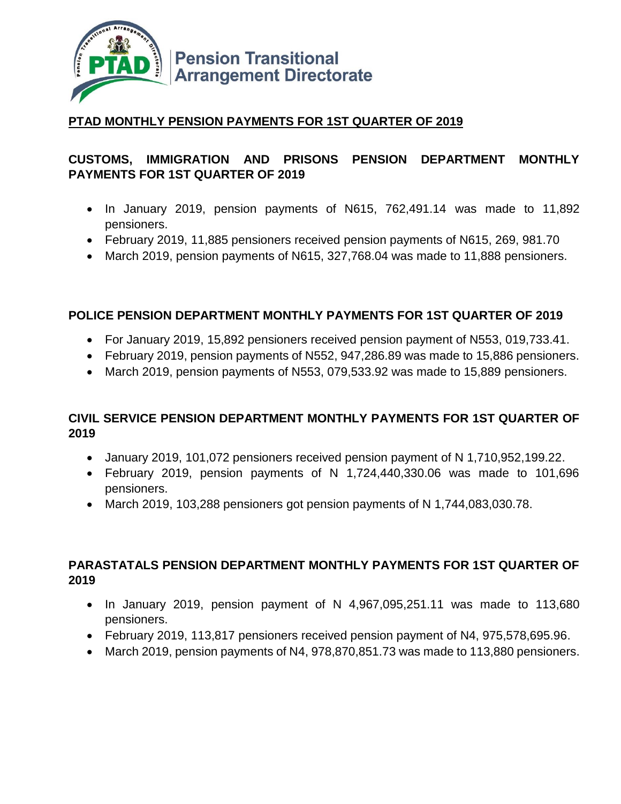

## **PTAD MONTHLY PENSION PAYMENTS FOR 1ST QUARTER OF 2019**

## **CUSTOMS, IMMIGRATION AND PRISONS PENSION DEPARTMENT MONTHLY PAYMENTS FOR 1ST QUARTER OF 2019**

- In January 2019, pension payments of N615, 762,491.14 was made to 11,892 pensioners.
- February 2019, 11,885 pensioners received pension payments of N615, 269, 981.70
- March 2019, pension payments of N615, 327,768.04 was made to 11,888 pensioners.

#### **POLICE PENSION DEPARTMENT MONTHLY PAYMENTS FOR 1ST QUARTER OF 2019**

- For January 2019, 15,892 pensioners received pension payment of N553, 019,733.41.
- February 2019, pension payments of N552, 947,286.89 was made to 15,886 pensioners.
- March 2019, pension payments of N553, 079,533.92 was made to 15,889 pensioners.

#### **CIVIL SERVICE PENSION DEPARTMENT MONTHLY PAYMENTS FOR 1ST QUARTER OF 2019**

- January 2019, 101,072 pensioners received pension payment of N 1,710,952,199.22.
- February 2019, pension payments of N 1,724,440,330.06 was made to 101,696 pensioners.
- March 2019, 103,288 pensioners got pension payments of N 1,744,083,030.78.

### **PARASTATALS PENSION DEPARTMENT MONTHLY PAYMENTS FOR 1ST QUARTER OF 2019**

- $\bullet$  In January 2019, pension payment of N 4,967,095,251.11 was made to 113,680 pensioners.
- February 2019, 113,817 pensioners received pension payment of N4, 975,578,695.96.
- March 2019, pension payments of N4, 978,870,851.73 was made to 113,880 pensioners.